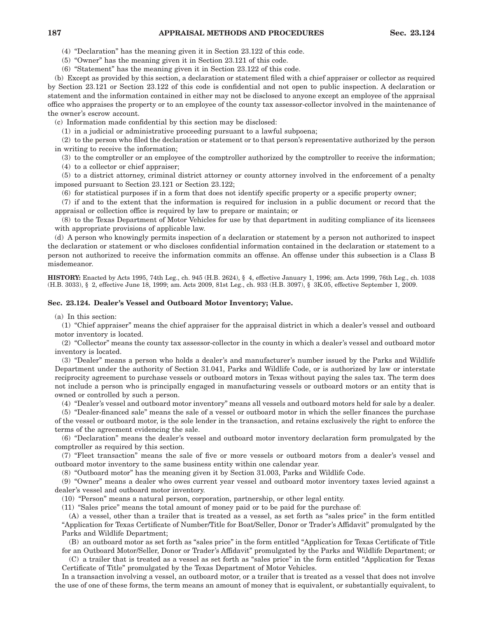## **187 APPRAISAL METHODS AND PROCEDURES Sec. 23.124**

(4) "Declaration" has the meaning given it in Section 23.122 of this code.

(5) "Owner" has the meaning given it in Section 23.121 of this code.

(6) "Statement" has the meaning given it in Section 23.122 of this code.

(b) Except as provided by this section, a declaration or statement filed with a chief appraiser or collector as required by Section 23.121 or Section 23.122 of this code is confidential and not open to public inspection. A declaration or statement and the information contained in either may not be disclosed to anyone except an employee of the appraisal office who appraises the property or to an employee of the county tax assessor-collector involved in the maintenance of the owner's escrow account.

(c) Information made confidential by this section may be disclosed:

(1) in a judicial or administrative proceeding pursuant to a lawful subpoena;

(2) to the person who filed the declaration or statement or to that person's representative authorized by the person in writing to receive the information;

(3) to the comptroller or an employee of the comptroller authorized by the comptroller to receive the information;

(4) to a collector or chief appraiser;

(5) to a district attorney, criminal district attorney or county attorney involved in the enforcement of a penalty imposed pursuant to Section 23.121 or Section 23.122;

(6) for statistical purposes if in a form that does not identify specific property or a specific property owner;

(7) if and to the extent that the information is required for inclusion in a public document or record that the appraisal or collection office is required by law to prepare or maintain; or

(8) to the Texas Department of Motor Vehicles for use by that department in auditing compliance of its licensees with appropriate provisions of applicable law.

(d) A person who knowingly permits inspection of a declaration or statement by a person not authorized to inspect the declaration or statement or who discloses confidential information contained in the declaration or statement to a person not authorized to receive the information commits an offense. An offense under this subsection is a Class B misdemeanor.

**HISTORY:** Enacted by Acts 1995, 74th Leg., ch. 945 (H.B. 2624), § 4, effective January 1, 1996; am. Acts 1999, 76th Leg., ch. 1038 (H.B. 3033), § 2, effective June 18, 1999; am. Acts 2009, 81st Leg., ch. 933 (H.B. 3097), § 3K.05, effective September 1, 2009.

## **Sec. 23.124. Dealer's Vessel and Outboard Motor Inventory; Value.**

(a) In this section:

(1) "Chief appraiser" means the chief appraiser for the appraisal district in which a dealer's vessel and outboard motor inventory is located.

(2) "Collector" means the county tax assessor-collector in the county in which a dealer's vessel and outboard motor inventory is located.

(3) "Dealer" means a person who holds a dealer's and manufacturer's number issued by the Parks and Wildlife Department under the authority of Section 31.041, Parks and Wildlife Code, or is authorized by law or interstate reciprocity agreement to purchase vessels or outboard motors in Texas without paying the sales tax. The term does not include a person who is principally engaged in manufacturing vessels or outboard motors or an entity that is owned or controlled by such a person.

(4) "Dealer's vessel and outboard motor inventory" means all vessels and outboard motors held for sale by a dealer.

(5) "Dealer-financed sale" means the sale of a vessel or outboard motor in which the seller finances the purchase of the vessel or outboard motor, is the sole lender in the transaction, and retains exclusively the right to enforce the terms of the agreement evidencing the sale.

(6) "Declaration" means the dealer's vessel and outboard motor inventory declaration form promulgated by the comptroller as required by this section.

(7) "Fleet transaction" means the sale of five or more vessels or outboard motors from a dealer's vessel and outboard motor inventory to the same business entity within one calendar year.

(8) "Outboard motor" has the meaning given it by Section 31.003, Parks and Wildlife Code.

(9) "Owner" means a dealer who owes current year vessel and outboard motor inventory taxes levied against a dealer's vessel and outboard motor inventory.

(10) "Person" means a natural person, corporation, partnership, or other legal entity.

(11) "Sales price" means the total amount of money paid or to be paid for the purchase of:

(A) a vessel, other than a trailer that is treated as a vessel, as set forth as "sales price" in the form entitled "Application for Texas Certificate of Number/Title for Boat/Seller, Donor or Trader's Affidavit" promulgated by the Parks and Wildlife Department;

(B) an outboard motor as set forth as "sales price" in the form entitled "Application for Texas Certificate of Title for an Outboard Motor/Seller, Donor or Trader's Affidavit" promulgated by the Parks and Wildlife Department; or

(C) a trailer that is treated as a vessel as set forth as "sales price" in the form entitled "Application for Texas Certificate of Title" promulgated by the Texas Department of Motor Vehicles.

In a transaction involving a vessel, an outboard motor, or a trailer that is treated as a vessel that does not involve the use of one of these forms, the term means an amount of money that is equivalent, or substantially equivalent, to